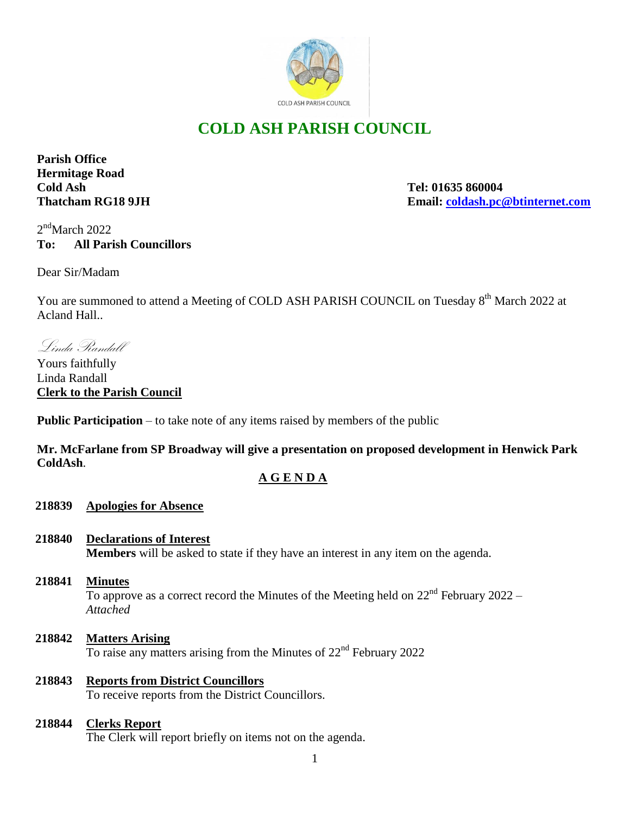

# **COLD ASH PARISH COUNCIL**

**Parish Office Hermitage Road Cold Ash Tel: 01635 860004**

**Thatcham RG18 9JH Email: [coldash.pc@btinternet.com](mailto:coldash.pc@btinternet.com)**

 $2<sup>nd</sup>$ March 2022 **To: All Parish Councillors**

Dear Sir/Madam

You are summoned to attend a Meeting of COLD ASH PARISH COUNCIL on Tuesday 8<sup>th</sup> March 2022 at Acland Hall..

Linda Randall

Yours faithfully Linda Randall **Clerk to the Parish Council** 

**Public Participation** – to take note of any items raised by members of the public

**Mr. McFarlane from SP Broadway will give a presentation on proposed development in Henwick Park ColdAsh**.

## **A G E N D A**

### **218839 Apologies for Absence**

**218840 Declarations of Interest**

**Members** will be asked to state if they have an interest in any item on the agenda.

- **218841 Minutes** To approve as a correct record the Minutes of the Meeting held on  $22<sup>nd</sup>$  February 2022 – *Attached*
- **218842 Matters Arising** To raise any matters arising from the Minutes of 22<sup>nd</sup> February 2022
- **218843 Reports from District Councillors** To receive reports from the District Councillors.

#### **218844 Clerks Report**

The Clerk will report briefly on items not on the agenda.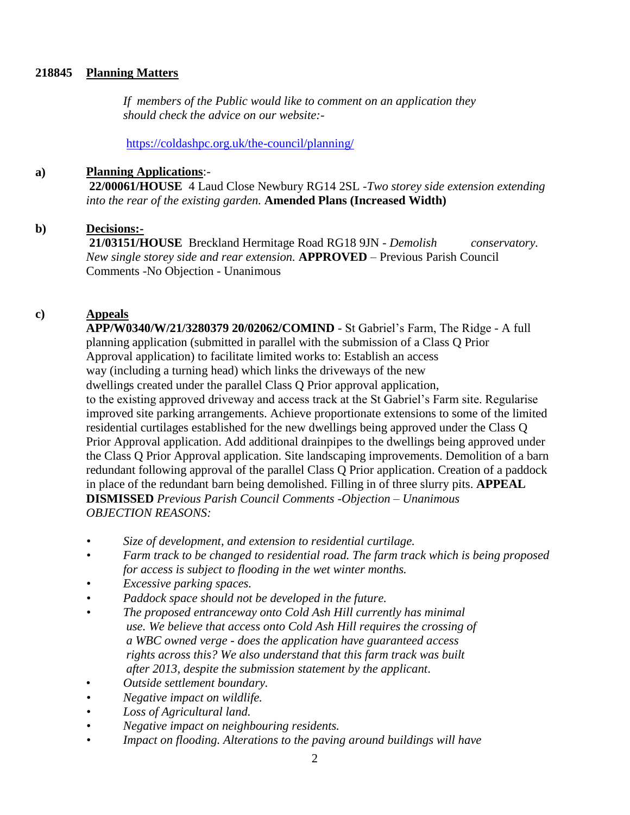#### **218845 Planning Matters**

 *If members of the Public would like to comment on an application they should check the advice on our website:-*

<https://coldashpc.org.uk/the-council/planning/>

#### **a) Planning Applications**:-

**22/00061/HOUSE** 4 Laud Close Newbury RG14 2SL -*Two storey side extension extending into the rear of the existing garden.* **Amended Plans (Increased Width)**

#### **b) Decisions:-**

**21/03151/HOUSE** Breckland Hermitage Road RG18 9JN - *Demolish conservatory. New single storey side and rear extension.* **APPROVED** *–* Previous Parish Council Comments -No Objection - Unanimous

#### **c) Appeals**

**APP/W0340/W/21/3280379 20/02062/COMIND** - St Gabriel's Farm, The Ridge - A full planning application (submitted in parallel with the submission of a Class Q Prior Approval application) to facilitate limited works to: Establish an access way (including a turning head) which links the driveways of the new dwellings created under the parallel Class Q Prior approval application, to the existing approved driveway and access track at the St Gabriel's Farm site. Regularise improved site parking arrangements. Achieve proportionate extensions to some of the limited residential curtilages established for the new dwellings being approved under the Class Q Prior Approval application. Add additional drainpipes to the dwellings being approved under the Class Q Prior Approval application. Site landscaping improvements. Demolition of a barn redundant following approval of the parallel Class Q Prior application. Creation of a paddock in place of the redundant barn being demolished. Filling in of three slurry pits. **APPEAL DISMISSED** *Previous Parish Council Comments -Objection – Unanimous OBJECTION REASONS:*

- *• Size of development, and extension to residential curtilage.*
- *• Farm track to be changed to residential road. The farm track which is being proposed for access is subject to flooding in the wet winter months.*
- *• Excessive parking spaces.*
- *• Paddock space should not be developed in the future.*
- *• The proposed entranceway onto Cold Ash Hill currently has minimal use. We believe that access onto Cold Ash Hill requires the crossing of a WBC owned verge - does the application have guaranteed access rights across this? We also understand that this farm track was built after 2013, despite the submission statement by the applicant*.
- *Outside settlement boundary.*
- *• Negative impact on wildlife.*
- *• Loss of Agricultural land.*
- *• Negative impact on neighbouring residents.*
- *• Impact on flooding. Alterations to the paving around buildings will have*